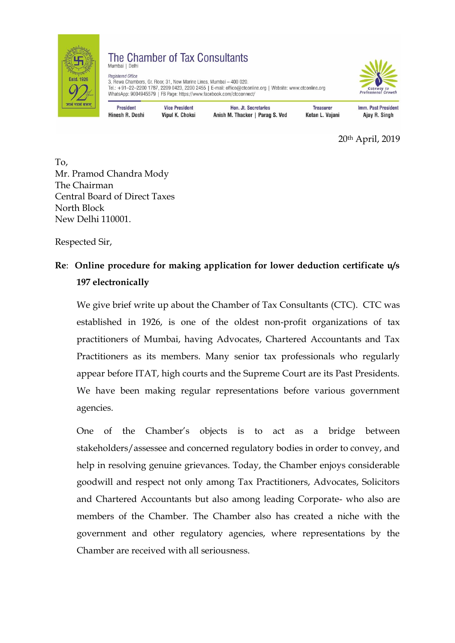

## The Chamber of Tax Consultants Mumbai | Delhi

Registered Office 3, Rewa Chambers, Gr. Floor, 31, New Marine Lines, Mumbai - 400 020. Tel.: +91-22-2200 1787, 2209 0423, 2200 2455 | E-mail: office@ctconline.org | Website: www.ctconline.org WhatsApp: 9004945579 | FB Page: https://www.facebook.com/ctcconnect/



**President** Hinesh R. Doshi

**Vice President Vipul K. Choksi** 

Hon, Jt. Secretaries Anish M. Thacker | Parag S. Ved

**Treasurer** Ketan L. Vajani Imm. Past President Ajay R. Singh

20th April, 2019

To, Mr. Pramod Chandra Mody The Chairman Central Board of Direct Taxes North Block New Delhi 110001.

Respected Sir,

# **Re**: **Online procedure for making application for lower deduction certificate u/s 197 electronically**

We give brief write up about the Chamber of Tax Consultants (CTC). CTC was established in 1926, is one of the oldest non-profit organizations of tax practitioners of Mumbai, having Advocates, Chartered Accountants and Tax Practitioners as its members. Many senior tax professionals who regularly appear before ITAT, high courts and the Supreme Court are its Past Presidents. We have been making regular representations before various government agencies.

One of the Chamber's objects is to act as a bridge between stakeholders/assessee and concerned regulatory bodies in order to convey, and help in resolving genuine grievances. Today, the Chamber enjoys considerable goodwill and respect not only among Tax Practitioners, Advocates, Solicitors and Chartered Accountants but also among leading Corporate- who also are members of the Chamber. The Chamber also has created a niche with the government and other regulatory agencies, where representations by the Chamber are received with all seriousness.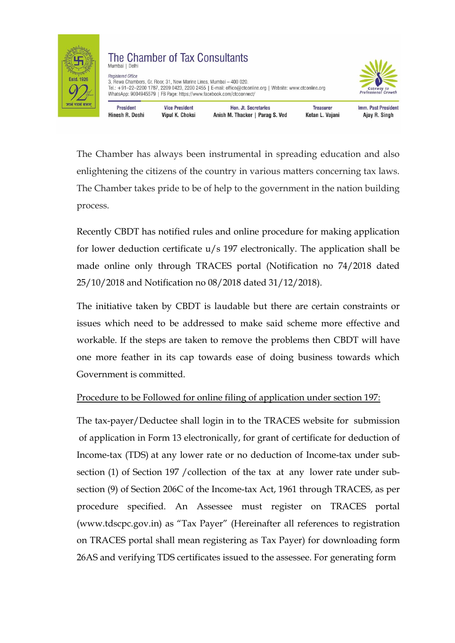

### The Chamber of Tax Consultants Mumbai | Delh **Registered Office** 3, Rewa Chambers, Gr. Floor, 31, New Marine Lines, Mumbai - 400 020. Tel.: +91-22-2200 1787, 2209 0423, 2200 2455 | E-mail: office@ctconline.org | Website: www.ctconline.org WhatsApp: 9004945579 | FB Page: https://www.facebook.com/ctcconnect/ **President Vice President**



Hinesh R. Doshi Vipul K. Choksi

Hon, Jt. Secretaries Anish M. Thacker | Parag S. Ved

**Treasurer** Ketan L. Vajani Imm. Past President Ajay R. Singh

The Chamber has always been instrumental in spreading education and also enlightening the citizens of the country in various matters concerning tax laws. The Chamber takes pride to be of help to the government in the nation building process.

Recently CBDT has notified rules and online procedure for making application for lower deduction certificate u/s 197 electronically. The application shall be made online only through TRACES portal (Notification no 74/2018 dated 25/10/2018 and Notification no 08/2018 dated 31/12/2018).

The initiative taken by CBDT is laudable but there are certain constraints or issues which need to be addressed to make said scheme more effective and workable. If the steps are taken to remove the problems then CBDT will have one more feather in its cap towards ease of doing business towards which Government is committed.

## Procedure to be Followed for online filing of application under section 197:

The tax-payer/Deductee shall login in to the TRACES website for submission of application in Form 13 electronically, for grant of certificate for deduction of Income-tax (TDS) at any lower rate or no deduction of Income-tax under subsection (1) of Section 197 /collection of the tax at any lower rate under subsection (9) of Section 206C of the Income-tax Act, 1961 through TRACES, as per procedure specified. An Assessee must register on TRACES portal (www.tdscpc.gov.in) as "Tax Payer" (Hereinafter all references to registration on TRACES portal shall mean registering as Tax Payer) for downloading form 26AS and verifying TDS certificates issued to the assessee. For generating form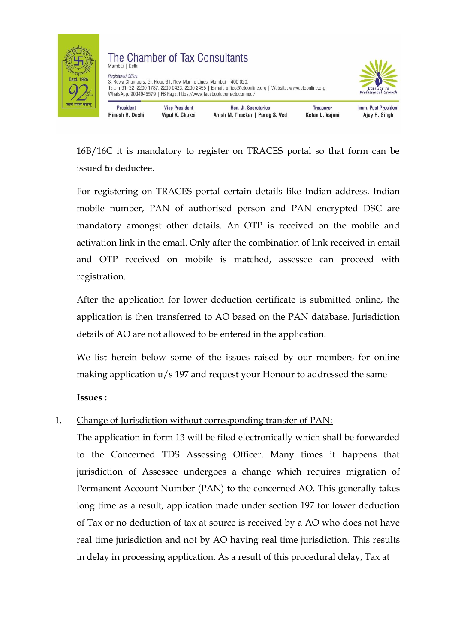

Hinesh R. Doshi



**Vipul K. Choksi** 



Imm. Past President

Ajay R. Singh

Ketan L. Vajani

16B/16C it is mandatory to register on TRACES portal so that form can be issued to deductee.

Anish M. Thacker | Parag S. Ved

For registering on TRACES portal certain details like Indian address, Indian mobile number, PAN of authorised person and PAN encrypted DSC are mandatory amongst other details. An OTP is received on the mobile and activation link in the email. Only after the combination of link received in email and OTP received on mobile is matched, assessee can proceed with registration.

After the application for lower deduction certificate is submitted online, the application is then transferred to AO based on the PAN database. Jurisdiction details of AO are not allowed to be entered in the application.

We list herein below some of the issues raised by our members for online making application u/s 197 and request your Honour to addressed the same

**Issues :**

## 1. Change of Jurisdiction without corresponding transfer of PAN:

The application in form 13 will be filed electronically which shall be forwarded to the Concerned TDS Assessing Officer. Many times it happens that jurisdiction of Assessee undergoes a change which requires migration of Permanent Account Number (PAN) to the concerned AO. This generally takes long time as a result, application made under section 197 for lower deduction of Tax or no deduction of tax at source is received by a AO who does not have real time jurisdiction and not by AO having real time jurisdiction. This results in delay in processing application. As a result of this procedural delay, Tax at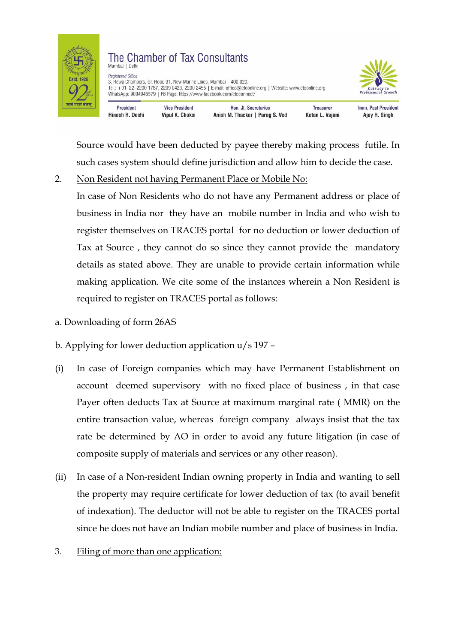

#### The Chamber of Tax Consultants Mumbai | Delh **Begistered Office** 3, Rewa Chambers, Gr. Floor, 31, New Marine Lines, Mumbai - 400 020. Tel.: +91-22-2200 1787, 2209 0423, 2200 2455 | E-mail: office@ctconline.org | Website: www.ctconline.org WhatsApp: 9004945579 | FB Page: https://www.facebook.com/ctcconnect/ **President Vice President** Hon, Jt. Secretaries **Treasurer**



Imm. Past President

Ajay R. Singh

Ketan L. Vajani

Source would have been deducted by payee thereby making process futile. In such cases system should define jurisdiction and allow him to decide the case.

Anish M. Thacker | Parag S. Ved

2. Non Resident not having Permanent Place or Mobile No:

Vipul K. Choksi

- In case of Non Residents who do not have any Permanent address or place of business in India nor they have an mobile number in India and who wish to register themselves on TRACES portal for no deduction or lower deduction of Tax at Source , they cannot do so since they cannot provide the mandatory details as stated above. They are unable to provide certain information while making application. We cite some of the instances wherein a Non Resident is required to register on TRACES portal as follows:
- a. Downloading of form 26AS

Hinesh R. Doshi

- b. Applying for lower deduction application u/s 197 –
- (i) In case of Foreign companies which may have Permanent Establishment on account deemed supervisory with no fixed place of business , in that case Payer often deducts Tax at Source at maximum marginal rate ( MMR) on the entire transaction value, whereas foreign company always insist that the tax rate be determined by AO in order to avoid any future litigation (in case of composite supply of materials and services or any other reason).
- (ii) In case of a Non-resident Indian owning property in India and wanting to sell the property may require certificate for lower deduction of tax (to avail benefit of indexation). The deductor will not be able to register on the TRACES portal since he does not have an Indian mobile number and place of business in India.
- 3. Filing of more than one application: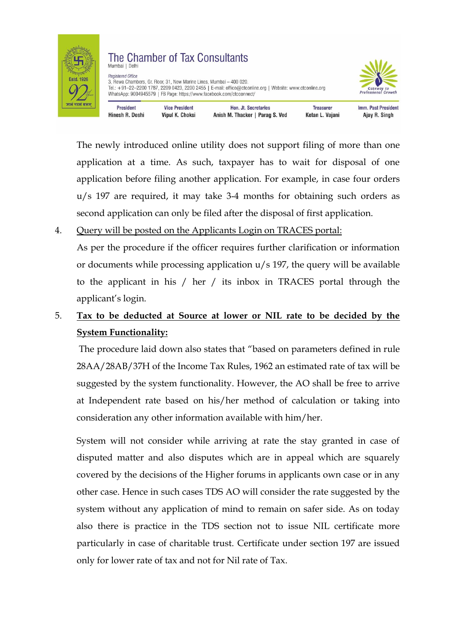

### The Chamber of Tax Consultants Mumbai | Delh **Registered Office** 3, Rewa Chambers, Gr. Floor, 31, New Marine Lines, Mumbai - 400 020. Tel.: +91-22-2200 1787, 2209 0423, 2200 2455 | E-mail: office@ctconline.org | Website: www.ctconline.org WhatsApp: 9004945579 | FB Page: https://www.facebook.com/ctcconnect/



**Vice President** Imm. Past President **President** Hon, Jt. Secretaries **Treasurer** Hinesh R. Doshi Vipul K. Choksi Anish M. Thacker | Parag S. Ved Ketan L. Vajani Ajay R. Singh

The newly introduced online utility does not support filing of more than one application at a time. As such, taxpayer has to wait for disposal of one application before filing another application. For example, in case four orders u/s 197 are required, it may take 3-4 months for obtaining such orders as second application can only be filed after the disposal of first application.

## 4. Query will be posted on the Applicants Login on TRACES portal:

As per the procedure if the officer requires further clarification or information or documents while processing application u/s 197, the query will be available to the applicant in his / her / its inbox in TRACES portal through the applicant's login.

# 5. **Tax to be deducted at Source at lower or NIL rate to be decided by the System Functionality:**

The procedure laid down also states that "based on parameters defined in rule 28AA/28AB/37H of the Income Tax Rules, 1962 an estimated rate of tax will be suggested by the system functionality. However, the AO shall be free to arrive at Independent rate based on his/her method of calculation or taking into consideration any other information available with him/her.

System will not consider while arriving at rate the stay granted in case of disputed matter and also disputes which are in appeal which are squarely covered by the decisions of the Higher forums in applicants own case or in any other case. Hence in such cases TDS AO will consider the rate suggested by the system without any application of mind to remain on safer side. As on today also there is practice in the TDS section not to issue NIL certificate more particularly in case of charitable trust. Certificate under section 197 are issued only for lower rate of tax and not for Nil rate of Tax.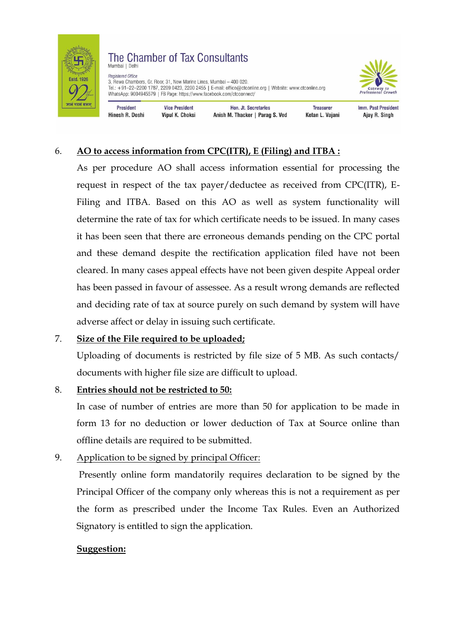

### The Chamber of Tax Consultants Mumbai | Delh

**Registered Office** 3, Rewa Chambers, Gr. Floor, 31, New Marine Lines, Mumbai - 400 020. Tel.: +91-22-2200 1787, 2209 0423, 2200 2455 | E-mail: office@ctconline.org | Website: www.ctconline.org WhatsApp: 9004945579 | FB Page: https://www.facebook.com/ctcconnect/



**President** Hinesh R. Doshi

**Vice President** Vipul K. Choksi

Hon, Jt. Secretaries Anish M. Thacker | Parag S. Ved

**Treasurer** Ketan L. Vajani Imm. Past President Ajay R. Singh

## 6. **AO to access information from CPC(ITR), E (Filing) and ITBA :**

As per procedure AO shall access information essential for processing the request in respect of the tax payer/deductee as received from CPC(ITR), E-Filing and ITBA. Based on this AO as well as system functionality will determine the rate of tax for which certificate needs to be issued. In many cases it has been seen that there are erroneous demands pending on the CPC portal and these demand despite the rectification application filed have not been cleared. In many cases appeal effects have not been given despite Appeal order has been passed in favour of assessee. As a result wrong demands are reflected and deciding rate of tax at source purely on such demand by system will have adverse affect or delay in issuing such certificate.

## 7. **Size of the File required to be uploaded;**

Uploading of documents is restricted by file size of 5 MB. As such contacts/ documents with higher file size are difficult to upload.

## 8. **Entries should not be restricted to 50:**

In case of number of entries are more than 50 for application to be made in form 13 for no deduction or lower deduction of Tax at Source online than offline details are required to be submitted.

## 9. Application to be signed by principal Officer:

Presently online form mandatorily requires declaration to be signed by the Principal Officer of the company only whereas this is not a requirement as per the form as prescribed under the Income Tax Rules. Even an Authorized Signatory is entitled to sign the application.

## **Suggestion:**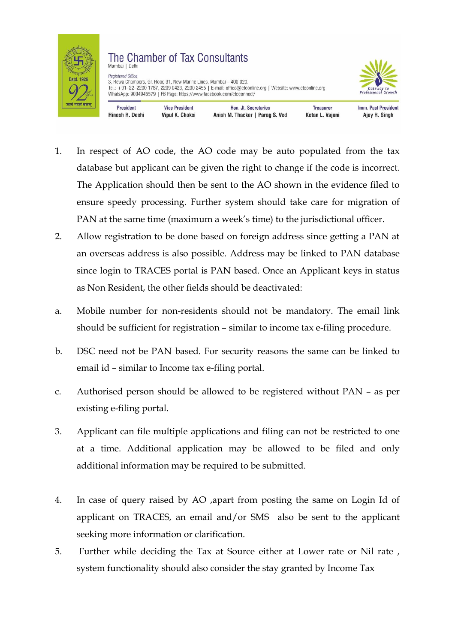

Hinesh R. Doshi

#### The Chamber of Tax Consultants Mumbai | Delhi **Registered Office** 3, Rewa Chambers, Gr. Floor, 31, New Marine Lines, Mumbai - 400 020. Tel.: +91-22-2200 1787, 2209 0423, 2200 2455 | E-mail: office@ctconline.org | Website: www.ctconline.org WhatsApp: 9004945579 | FB Page: https://www.facebook.com/ctcconnect/ **President Vice President** Hon, Jt. Secretaries **Treasurer**

Anish M. Thacker | Parag S. Ved

Vipul K. Choksi



Imm. Past President

Ajay R. Singh

Ketan L. Vajani

- 1. In respect of AO code, the AO code may be auto populated from the tax database but applicant can be given the right to change if the code is incorrect. The Application should then be sent to the AO shown in the evidence filed to ensure speedy processing. Further system should take care for migration of PAN at the same time (maximum a week's time) to the jurisdictional officer.
- 2. Allow registration to be done based on foreign address since getting a PAN at an overseas address is also possible. Address may be linked to PAN database since login to TRACES portal is PAN based. Once an Applicant keys in status as Non Resident, the other fields should be deactivated:
- a. Mobile number for non-residents should not be mandatory. The email link should be sufficient for registration – similar to income tax e-filing procedure.
- b. DSC need not be PAN based. For security reasons the same can be linked to email id – similar to Income tax e-filing portal.
- c. Authorised person should be allowed to be registered without PAN as per existing e-filing portal.
- 3. Applicant can file multiple applications and filing can not be restricted to one at a time. Additional application may be allowed to be filed and only additional information may be required to be submitted.
- 4. In case of query raised by AO ,apart from posting the same on Login Id of applicant on TRACES, an email and/or SMS also be sent to the applicant seeking more information or clarification.
- 5. Further while deciding the Tax at Source either at Lower rate or Nil rate , system functionality should also consider the stay granted by Income Tax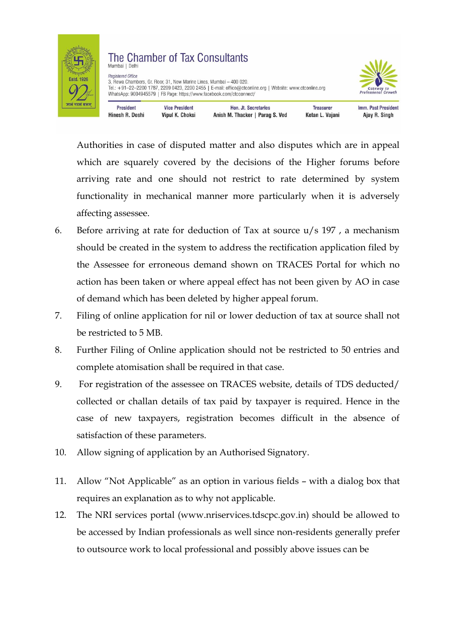

### The Chamber of Tax Consultants Mumbai | Delhi **Registered Office**

3, Rewa Chambers, Gr. Floor, 31, New Marine Lines, Mumbai - 400 020. Tel.: +91-22-2200 1787, 2209 0423, 2200 2455 | E-mail: office@ctconline.org | Website: www.ctconline.org WhatsApp: 9004945579 | FB Page: https://www.facebook.com/ctcconnect/



**President Vice President** Hinesh R. Doshi Vipul K. Choksi

Hon, Jt. Secretaries Anish M. Thacker | Parag S. Ved

**Treasurer** Ketan L. Vajani Imm. Past President Ajay R. Singh

Authorities in case of disputed matter and also disputes which are in appeal which are squarely covered by the decisions of the Higher forums before arriving rate and one should not restrict to rate determined by system functionality in mechanical manner more particularly when it is adversely affecting assessee.

- 6. Before arriving at rate for deduction of Tax at source u/s 197 , a mechanism should be created in the system to address the rectification application filed by the Assessee for erroneous demand shown on TRACES Portal for which no action has been taken or where appeal effect has not been given by AO in case of demand which has been deleted by higher appeal forum.
- 7. Filing of online application for nil or lower deduction of tax at source shall not be restricted to 5 MB.
- 8. Further Filing of Online application should not be restricted to 50 entries and complete atomisation shall be required in that case.
- 9. For registration of the assessee on TRACES website, details of TDS deducted/ collected or challan details of tax paid by taxpayer is required. Hence in the case of new taxpayers, registration becomes difficult in the absence of satisfaction of these parameters.
- 10. Allow signing of application by an Authorised Signatory.
- 11. Allow "Not Applicable" as an option in various fields with a dialog box that requires an explanation as to why not applicable.
- 12. The NRI services portal (www.nriservices.tdscpc.gov.in) should be allowed to be accessed by Indian professionals as well since non-residents generally prefer to outsource work to local professional and possibly above issues can be